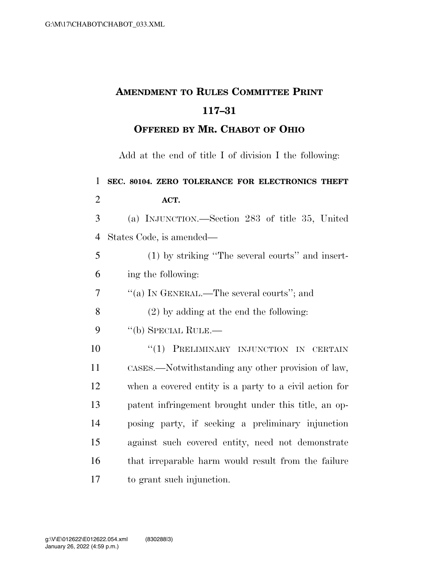## **AMENDMENT TO RULES COMMITTEE PRINT 117–31**

## **OFFERED BY MR. CHABOT OF OHIO**

Add at the end of title I of division I the following:

 **SEC. 80104. ZERO TOLERANCE FOR ELECTRONICS THEFT ACT.**  (a) INJUNCTION.—Section 283 of title 35, United States Code, is amended— (1) by striking ''The several courts'' and insert- ing the following: ''(a) IN GENERAL.—The several courts''; and (2) by adding at the end the following: 9 "(b) SPECIAL RULE.— **''(1) PRELIMINARY INJUNCTION IN CERTAIN**  CASES.—Notwithstanding any other provision of law, when a covered entity is a party to a civil action for patent infringement brought under this title, an op- posing party, if seeking a preliminary injunction against such covered entity, need not demonstrate that irreparable harm would result from the failure to grant such injunction.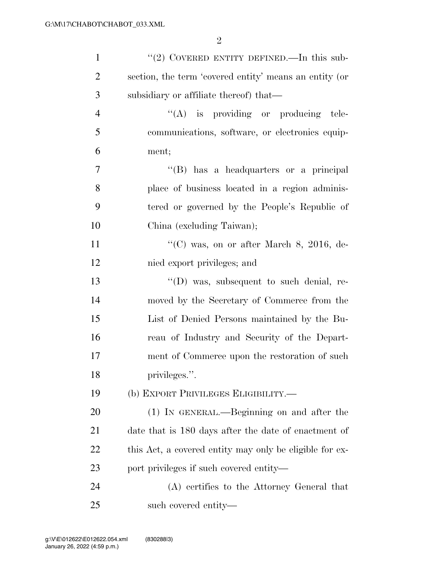| $\mathbf{1}$   | "(2) COVERED ENTITY DEFINED.—In this sub-               |
|----------------|---------------------------------------------------------|
| $\overline{2}$ | section, the term 'covered entity' means an entity (or  |
| 3              | subsidiary or affiliate thereof) that—                  |
| $\overline{4}$ | "(A) is providing or producing tele-                    |
| 5              | communications, software, or electronics equip-         |
| 6              | ment;                                                   |
| $\overline{7}$ | "(B) has a headquarters or a principal                  |
| 8              | place of business located in a region adminis-          |
| 9              | tered or governed by the People's Republic of           |
| 10             | China (excluding Taiwan);                               |
| 11             | "(C) was, on or after March 8, 2016, de-                |
| 12             | nied export privileges; and                             |
| 13             | $\lq\lq$ (D) was, subsequent to such denial, re-        |
| 14             | moved by the Secretary of Commerce from the             |
| 15             | List of Denied Persons maintained by the Bu-            |
| 16             | reau of Industry and Security of the Depart-            |
| 17             | ment of Commerce upon the restoration of such           |
| 18             | privileges.".                                           |
| 19             | (b) EXPORT PRIVILEGES ELIGIBILITY.-                     |
| 20             | (1) IN GENERAL.—Beginning on and after the              |
| 21             | date that is 180 days after the date of enactment of    |
| 22             | this Act, a covered entity may only be eligible for ex- |
| 23             | port privileges if such covered entity—                 |
| 24             | (A) certifies to the Attorney General that              |
| 25             | such covered entity—                                    |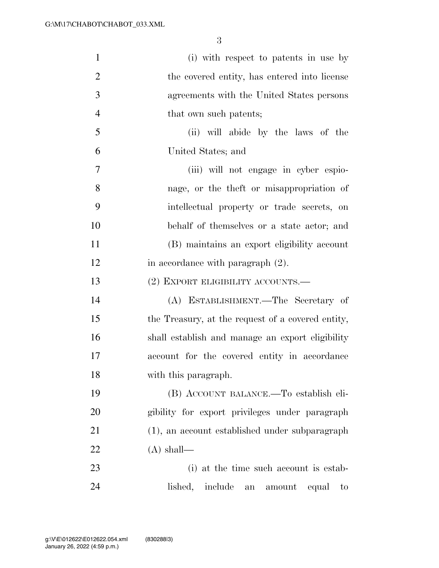| $\mathbf{1}$   | (i) with respect to patents in use by                  |
|----------------|--------------------------------------------------------|
| $\overline{2}$ | the covered entity, has entered into license           |
| 3              | agreements with the United States persons              |
| $\overline{4}$ | that own such patents;                                 |
| 5              | (ii) will abide by the laws of the                     |
| 6              | United States; and                                     |
| 7              | (iii) will not engage in cyber espio-                  |
| 8              | nage, or the theft or misappropriation of              |
| 9              | intellectual property or trade secrets, on             |
| 10             | behalf of themselves or a state actor; and             |
| 11             | (B) maintains an export eligibility account            |
| 12             | in accordance with paragraph $(2)$ .                   |
| 13             | (2) EXPORT ELIGIBILITY ACCOUNTS.—                      |
| 14             | (A) ESTABLISHMENT.—The Secretary of                    |
| 15             | the Treasury, at the request of a covered entity,      |
| 16             | shall establish and manage an export eligibility       |
| 17             | account for the covered entity in accordance           |
| 18             | with this paragraph.                                   |
| 19             | (B) ACCOUNT BALANCE.—To establish eli-                 |
| 20             | gibility for export privileges under paragraph         |
| 21             | (1), an account established under subparagraph         |
| 22             | $(A)$ shall—                                           |
| 23             | (i) at the time such account is estab-                 |
| 24             | lished, include<br>amount<br>${\rm an}$<br>equal<br>to |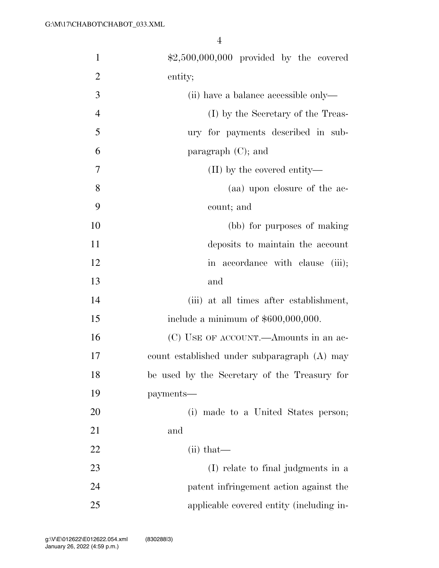| $\mathbf{1}$   | $$2,500,000,000$ provided by the covered     |
|----------------|----------------------------------------------|
| $\overline{2}$ | entity;                                      |
| 3              | (ii) have a balance accessible only—         |
| $\overline{4}$ | (I) by the Secretary of the Treas-           |
| 5              | ury for payments described in sub-           |
| 6              | paragraph $(C)$ ; and                        |
| 7              | $(II)$ by the covered entity—                |
| 8              | (aa) upon closure of the ac-                 |
| 9              | count; and                                   |
| 10             | (bb) for purposes of making                  |
| 11             | deposits to maintain the account             |
| 12             | in accordance with clause (iii);             |
| 13             | and                                          |
| 14             | (iii) at all times after establishment,      |
| 15             | include a minimum of $$600,000,000$ .        |
| 16             | (C) USE OF ACCOUNT.—Amounts in an ac-        |
| 17             | count established under subparagraph (A) may |
| 18             | be used by the Secretary of the Treasury for |
| 19             | payments—                                    |
| 20             | (i) made to a United States person;          |
| 21             | and                                          |
| 22             | $(ii)$ that—                                 |
| 23             | (I) relate to final judgments in a           |
| 24             | patent infringement action against the       |
| 25             | applicable covered entity (including in-     |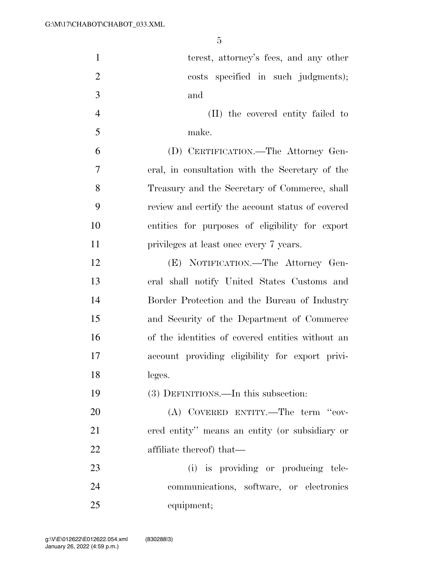| $\mathbf{1}$   | terest, attorney's fees, and any other           |
|----------------|--------------------------------------------------|
| $\overline{2}$ | costs specified in such judgments);              |
| 3              | and                                              |
| $\overline{4}$ | (II) the covered entity failed to                |
| 5              | make.                                            |
| 6              | (D) CERTIFICATION.—The Attorney Gen-             |
| 7              | eral, in consultation with the Secretary of the  |
| 8              | Treasury and the Secretary of Commerce, shall    |
| 9              | review and certify the account status of covered |
| 10             | entities for purposes of eligibility for export  |
| 11             | privileges at least once every 7 years.          |
| 12             | (E) NOTIFICATION.-The Attorney Gen-              |
| 13             | eral shall notify United States Customs and      |
| 14             | Border Protection and the Bureau of Industry     |
| 15             | and Security of the Department of Commerce       |
| 16             | of the identities of covered entities without an |
| 17             | account providing eligibility for export privi-  |
| 18             | leges.                                           |
| 19             | (3) DEFINITIONS.—In this subsection:             |
| 20             | (A) COVERED ENTITY.—The term "cov-               |
| 21             | ered entity" means an entity (or subsidiary or   |
| 22             | affiliate thereof) that—                         |
| 23             | (i) is providing or producing tele-              |
| 24             | communications, software, or electronics         |
| 25             | equipment;                                       |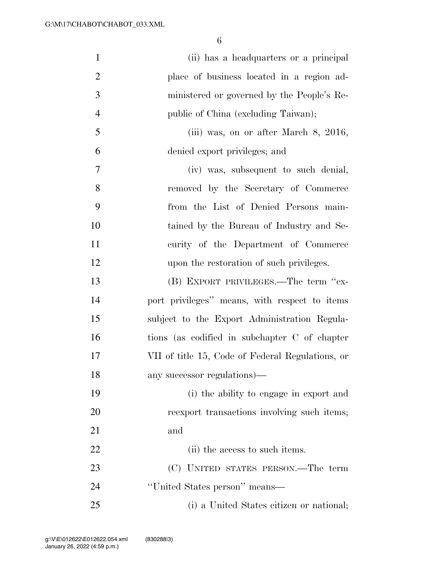| $\mathbf{1}$   | (ii) has a headquarters or a principal           |
|----------------|--------------------------------------------------|
| $\overline{2}$ | place of business located in a region ad-        |
| 3              | ministered or governed by the People's Re-       |
| $\overline{4}$ | public of China (excluding Taiwan);              |
| 5              | (iii) was, on or after March $8, 2016,$          |
| 6              | denied export privileges; and                    |
| $\overline{7}$ | (iv) was, subsequent to such denial,             |
| 8              | removed by the Secretary of Commerce             |
| 9              | from the List of Denied Persons main-            |
| 10             | tained by the Bureau of Industry and Se-         |
| 11             | curity of the Department of Commerce             |
| 12             | upon the restoration of such privileges.         |
| 13             | (B) EXPORT PRIVILEGES.—The term "ex-             |
| 14             | port privileges" means, with respect to items    |
| 15             | subject to the Export Administration Regula-     |
| 16             | tions (as codified in subchapter C of chapter    |
| 17             | VII of title 15, Code of Federal Regulations, or |
| 18             | any successor regulations)—                      |
| 19             | (i) the ability to engage in export and          |
| 20             | reexport transactions involving such items;      |
| 21             | and                                              |
| 22             | (ii) the access to such items.                   |
| 23             | (C) UNITED STATES PERSON.—The term               |
| 24             | "United States person" means—                    |
| 25             | (i) a United States citizen or national;         |